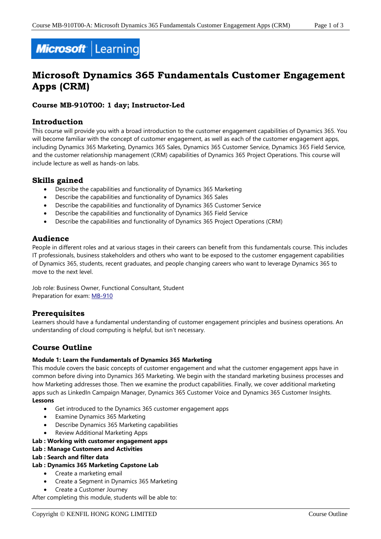

# **Microsoft Dynamics 365 Fundamentals Customer Engagement Apps (CRM)**

## **Course MB-910T00: 1 day; Instructor-Led**

## **Introduction**

This course will provide you with a broad introduction to the customer engagement capabilities of Dynamics 365. You will become familiar with the concept of customer engagement, as well as each of the customer engagement apps, including Dynamics 365 Marketing, Dynamics 365 Sales, Dynamics 365 Customer Service, Dynamics 365 Field Service, and the customer relationship management (CRM) capabilities of Dynamics 365 Project Operations. This course will include lecture as well as hands-on labs.

## **Skills gained**

- Describe the capabilities and functionality of Dynamics 365 Marketing
- Describe the capabilities and functionality of Dynamics 365 Sales
- Describe the capabilities and functionality of Dynamics 365 Customer Service
- Describe the capabilities and functionality of Dynamics 365 Field Service
- Describe the capabilities and functionality of Dynamics 365 Project Operations (CRM)

## **Audience**

People in different roles and at various stages in their careers can benefit from this fundamentals course. This includes IT professionals, business stakeholders and others who want to be exposed to the customer engagement capabilities of Dynamics 365, students, recent graduates, and people changing careers who want to leverage Dynamics 365 to move to the next level.

Job role: Business Owner, Functional Consultant, Student Preparation for exam: [MB-910](https://docs.microsoft.com/en-us/learn/certifications/exams/mb-910)

## **Prerequisites**

Learners should have a fundamental understanding of customer engagement principles and business operations. An understanding of cloud computing is helpful, but isn't necessary.

## **Course Outline**

## **Module 1: Learn the Fundamentals of Dynamics 365 Marketing**

This module covers the basic concepts of customer engagement and what the customer engagement apps have in common before diving into Dynamics 365 Marketing. We begin with the standard marketing business processes and how Marketing addresses those. Then we examine the product capabilities. Finally, we cover additional marketing apps such as LinkedIn Campaign Manager, Dynamics 365 Customer Voice and Dynamics 365 Customer Insights. **Lessons**

- Get introduced to the Dynamics 365 customer engagement apps
- Examine Dynamics 365 Marketing
- Describe Dynamics 365 Marketing capabilities
- Review Additional Marketing Apps

#### **Lab : Working with customer engagement apps**

**Lab : Manage Customers and Activities**

## **Lab : Search and filter data**

- **Lab : Dynamics 365 Marketing Capstone Lab**
	- Create a marketing email
	- Create a Segment in Dynamics 365 Marketing
	- Create a Customer Journey

After completing this module, students will be able to: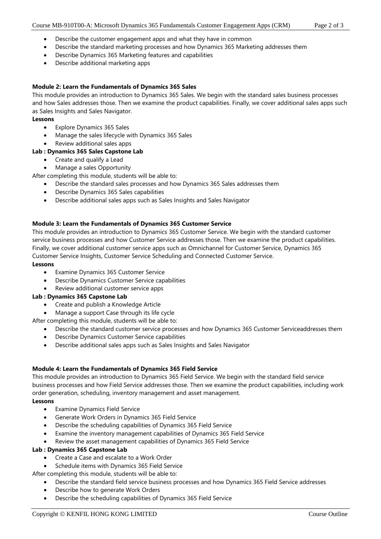- Describe the customer engagement apps and what they have in common
- Describe the standard marketing processes and how Dynamics 365 Marketing addresses them
- Describe Dynamics 365 Marketing features and capabilities
- Describe additional marketing apps

#### **Module 2: Learn the Fundamentals of Dynamics 365 Sales**

This module provides an introduction to Dynamics 365 Sales. We begin with the standard sales business processes and how Sales addresses those. Then we examine the product capabilities. Finally, we cover additional sales apps such as Sales Insights and Sales Navigator.

#### **Lessons**

- Explore Dynamics 365 Sales
- Manage the sales lifecycle with Dynamics 365 Sales
- Review additional sales apps

#### **Lab : Dynamics 365 Sales Capstone Lab**

• Create and qualify a Lead

• Manage a sales Opportunity

After completing this module, students will be able to:

- Describe the standard sales processes and how Dynamics 365 Sales addresses them
- Describe Dynamics 365 Sales capabilities
- Describe additional sales apps such as Sales Insights and Sales Navigator

#### **Module 3: Learn the Fundamentals of Dynamics 365 Customer Service**

This module provides an introduction to Dynamics 365 Customer Service. We begin with the standard customer service business processes and how Customer Service addresses those. Then we examine the product capabilities. Finally, we cover additional customer service apps such as Omnichannel for Customer Service, Dynamics 365 Customer Service Insights, Customer Service Scheduling and Connected Customer Service.

#### **Lessons**

- Examine Dynamics 365 Customer Service
- Describe Dynamics Customer Service capabilities
- Review additional customer service apps

#### **Lab : Dynamics 365 Capstone Lab**

- Create and publish a Knowledge Article
- Manage a support Case through its life cycle
- After completing this module, students will be able to:
	- Describe the standard customer service processes and how Dynamics 365 Customer Serviceaddresses them
	- Describe Dynamics Customer Service capabilities
	- Describe additional sales apps such as Sales Insights and Sales Navigator

## **Module 4: Learn the Fundamentals of Dynamics 365 Field Service**

This module provides an introduction to Dynamics 365 Field Service. We begin with the standard field service business processes and how Field Service addresses those. Then we examine the product capabilities, including work order generation, scheduling, inventory management and asset management.

#### **Lessons**

- **Examine Dynamics Field Service**
- Generate Work Orders in Dynamics 365 Field Service
- Describe the scheduling capabilities of Dynamics 365 Field Service
- Examine the inventory management capabilities of Dynamics 365 Field Service
- Review the asset management capabilities of Dynamics 365 Field Service

#### **Lab : Dynamics 365 Capstone Lab**

- Create a Case and escalate to a Work Order
- Schedule items with Dynamics 365 Field Service

After completing this module, students will be able to:

- Describe the standard field service business processes and how Dynamics 365 Field Service addresses
- Describe how to generate Work Orders
- Describe the scheduling capabilities of Dynamics 365 Field Service